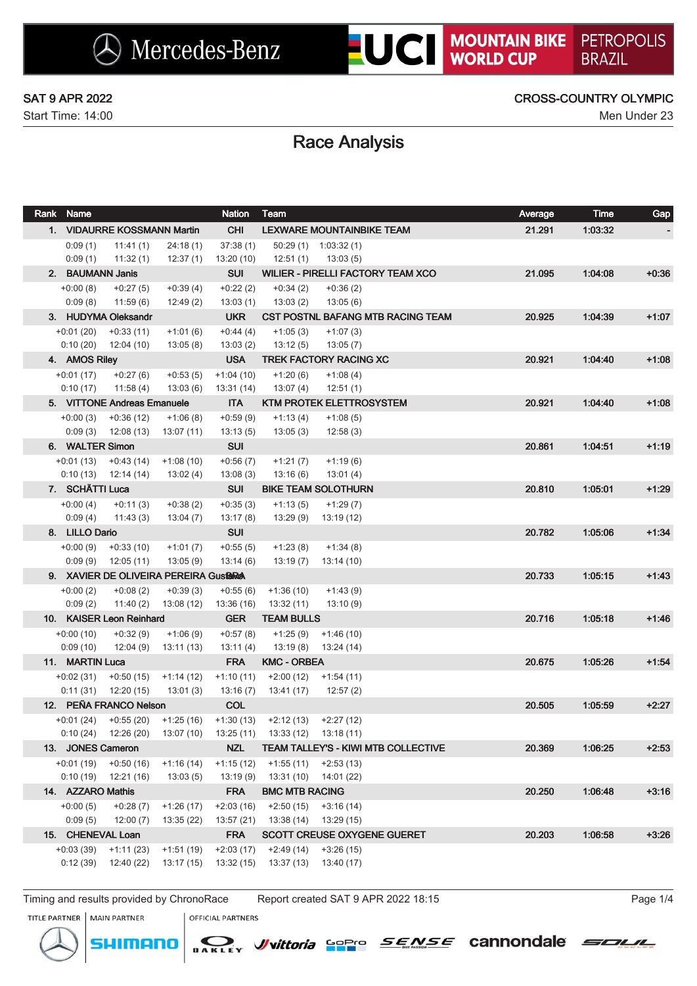Start Time: 14:00 Men Under 23

## SAT 9 APR 2022 CROSS-COUNTRY OLYMPIC

# Race Analysis

| Rank Name               |                                       |                          | <b>Nation</b>          | Team                                |                                          | Average | <b>Time</b> | <b>Gap</b> |
|-------------------------|---------------------------------------|--------------------------|------------------------|-------------------------------------|------------------------------------------|---------|-------------|------------|
|                         | 1. VIDAURRE KOSSMANN Martin           |                          | <b>CHI</b>             |                                     | <b>LEXWARE MOUNTAINBIKE TEAM</b>         | 21.291  | 1:03:32     |            |
| 0:09(1)                 | 11:41(1)                              | 24:18(1)                 | 37:38(1)               |                                     | $50:29(1)$ 1:03:32(1)                    |         |             |            |
| 0:09(1)                 | 11:32(1)                              | 12:37(1)                 | 13:20(10)              | 12:51 (1)                           | 13:03(5)                                 |         |             |            |
| 2. BAUMANN Janis        |                                       |                          | <b>SUI</b>             |                                     | <b>WILIER - PIRELLI FACTORY TEAM XCO</b> | 21.095  | 1:04:08     | $+0.36$    |
| $+0:00(8)$              | $+0:27(5)$                            | $+0:39(4)$               | $+0:22(2)$             | $+0:34(2)$                          | $+0:36(2)$                               |         |             |            |
| 0:09(8)                 | 11:59(6)                              | 12:49(2)                 | 13:03(1)               | 13:03(2)                            | 13:05(6)                                 |         |             |            |
|                         | 3. HUDYMA Oleksandr                   |                          | <b>UKR</b>             |                                     | <b>CST POSTNL BAFANG MTB RACING TEAM</b> | 20.925  | 1.04.39     | $+1:07$    |
| $+0:01(20)$             | $+0:33(11)$                           | $+1:01(6)$               | $+0:44(4)$             | $+1:05(3)$                          | $+1:07(3)$                               |         |             |            |
| 0:10(20)                | 12:04 (10)                            | 13:05(8)                 | 13:03(2)               | 13:12(5)                            | 13:05(7)                                 |         |             |            |
| 4. AMOS Riley           |                                       |                          | <b>USA</b>             |                                     | <b>TREK FACTORY RACING XC</b>            | 20.921  | 1.04:40     | $+1:08$    |
| $+0:01(17)$             | $+0:27(6)$                            | $+0:53(5)$               | $+1:04(10)$            | $+1:20(6)$                          | $+1:08(4)$                               |         |             |            |
| 0:10(17)                | 11:58 (4)                             | 13:03(6)                 | 13:31 (14)             | 13:07 (4)                           | 12:51(1)                                 |         |             |            |
|                         | 5. VITTONE Andreas Emanuele           |                          | <b>ITA</b>             |                                     | <b>KTM PROTEK ELETTROSYSTEM</b>          | 20.921  | 1.04.40     | $+1:08$    |
| $+0:00(3)$<br>0:09(3)   | $+0.36(12)$<br>12:08 (13)             | $+1:06(8)$<br>13:07 (11) | $+0.59(9)$<br>13:13(5) | $+1:13(4)$<br>13:05(3)              | $+1:08(5)$<br>12:58(3)                   |         |             |            |
| 6. WALTER Simon         |                                       |                          | <b>SUI</b>             |                                     |                                          | 20.861  | 1:04:51     | $+1:19$    |
|                         |                                       | $+1:08(10)$              |                        |                                     |                                          |         |             |            |
| $+0:01(13)$<br>0:10(13) | $+0.43(14)$<br>12:14 (14)             | 13:02(4)                 | $+0.56(7)$<br>13:08(3) | $+1:21(7)$<br>13:16 (6)             | $+1:19(6)$<br>13:01(4)                   |         |             |            |
| 7. SCHÄTTI Luca         |                                       |                          | <b>SUI</b>             |                                     | <b>BIKE TEAM SOLOTHURN</b>               | 20.810  | 1:05:01     | $+1:29$    |
| $+0:00(4)$              | $+0:11(3)$                            | $+0:38(2)$               | $+0.35(3)$             | $+1:13(5)$                          | $+1:29(7)$                               |         |             |            |
| 0:09(4)                 | 11:43 (3)                             | 13:04(7)                 | 13:17(8)               | 13:29 (9)                           | 13:19 (12)                               |         |             |            |
| 8. LILLO Dario          |                                       |                          | <b>SUI</b>             |                                     |                                          | 20.782  | 1:05:06     | $+1.34$    |
| $+0.00(9)$              | $+0.33(10)$                           | $+1:01(7)$               | $+0.55(5)$             | $+1:23(8)$                          | $+1:34(8)$                               |         |             |            |
| 0:09(9)                 | 12:05 (11)                            | 13:05(9)                 | 13:14(6)               | 13:19 (7)                           | 13:14(10)                                |         |             |            |
|                         | 9. XAVIER DE OLIVEIRA PEREIRA Gustara |                          |                        |                                     |                                          | 20.733  | 1:05:15     | $+1:43$    |
| $+0:00(2)$              | $+0:08(2)$                            | $+0:39(3)$               | $+0.55(6)$             | $+1:36(10)$                         | $+1:43(9)$                               |         |             |            |
| 0:09(2)                 | 11:40(2)                              | 13:08(12)                | 13:36 (16)             | 13:32 (11)                          | 13:10(9)                                 |         |             |            |
|                         | 10. KAISER Leon Reinhard              |                          | <b>GER</b>             | <b>TEAM BULLS</b>                   |                                          | 20.716  | 1.05:18     | $+1.46$    |
| $+0:00(10)$             | $+0:32(9)$                            | $+1:06(9)$               | $+0.57(8)$             | $+1:25(9)$                          | $+1:46(10)$                              |         |             |            |
| 0:09(10)                | 12:04 (9)                             | 13:11(13)                | 13:11(4)               | 13:19(8)                            | 13:24 (14)                               |         |             |            |
| 11. MARTIN Luca         |                                       |                          | <b>FRA</b>             | <b>KMC - ORBEA</b>                  |                                          | 20.675  | 1.05:26     | $+1:54$    |
| $+0.02(31)$             | $+0:50(15)$                           | $+1:14(12)$              | $+1:10(11)$            | $+2:00(12)$                         | +1:54 (11)                               |         |             |            |
|                         | $0:11(31)$ 12:20 (15)                 | 13:01(3)                 | 13:16(7)               | 13:41 (17)                          | 12:57 (2)                                |         |             |            |
|                         | 12. PEÑA FRANCO Nelson                |                          | <b>COL</b>             |                                     |                                          | 20.505  | 1.05:59     | $+2:27$    |
|                         | $+0.01(24)$ $+0.55(20)$ $+1.25(16)$   |                          |                        | $+1:30(13)$ $+2:12(13)$ $+2:27(12)$ |                                          |         |             |            |
| 0:10(24)                | 12:26 (20)                            |                          | 13:07 (10) 13:25 (11)  | 13:33 (12)  13:18 (11)              |                                          |         |             |            |
| 13. JONES Cameron       |                                       |                          | NZL                    |                                     | TEAM TALLEY'S - KIWI MTB COLLECTIVE      | 20.369  | 1:06:25     | $+2:53$    |
| $+0:01(19)$             | $+0:50(16)$                           | $+1:16(14)$              | $+1:15(12)$            |                                     | $+1:55(11)$ $+2:53(13)$                  |         |             |            |
| 0:10(19)                | 12:21 (16)                            | 13:03(5)                 | 13:19 (9)              |                                     | $13:31(10)$ $14:01(22)$                  |         |             |            |
| 14. AZZARO Mathis       |                                       |                          | <b>FRA</b>             | <b>BMC MTB RACING</b>               |                                          | 20.250  | 1.06:48     | $+3:16$    |
| $+0:00(5)$              | $+0:28(7)$                            | $+1:26(17)$              | $+2:03(16)$            | $+2:50(15)$                         | $+3:16(14)$                              |         |             |            |
| 0:09(5)                 | 12:00(7)                              | 13:35(22)                | 13:57 (21)             | 13:38 (14)                          | 13:29 (15)                               |         |             |            |
|                         | 15. CHENEVAL Loan                     |                          | <b>FRA</b>             |                                     | <b>SCOTT CREUSE OXYGENE GUERET</b>       | 20.203  | 1:06:58     | $+3:26$    |
| $+0.03(39)$             | $+1:11(23)$                           | $+1:51(19)$              | $+2:03(17)$            | $+2:49(14)$                         | $+3:26(15)$                              |         |             |            |
| 0:12(39)                | 12:40 (22)                            | 13:17(15)                | 13:32(15)              | 13:37 (13)                          | 13:40 (17)                               |         |             |            |

Timing and results provided by ChronoRace Report created SAT 9 APR 2022 18:15 Page 1/4

TITLE PARTNER | MAIN PARTNER



**OFFICIAL PARTNERS** 





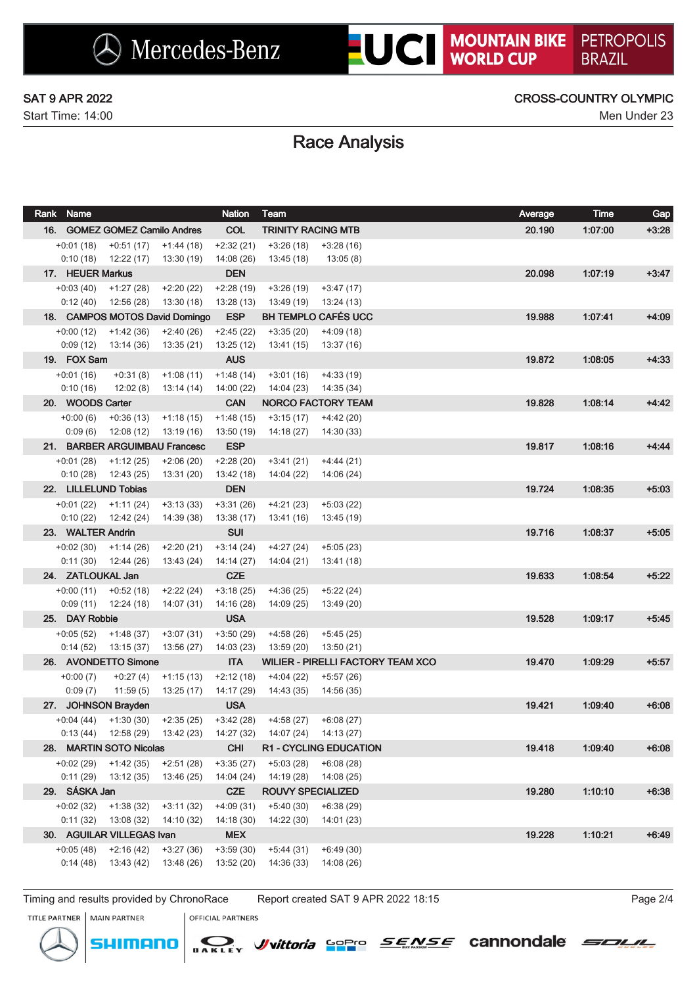Start Time: 14:00 Men Under 23

## SAT 9 APR 2022 CROSS-COUNTRY OLYMPIC

# Race Analysis

| Rank Name                     |                                  |                                | <b>Nation</b>            | <b>Team</b>               |                                          | Average | <b>Time</b> | Gap     |
|-------------------------------|----------------------------------|--------------------------------|--------------------------|---------------------------|------------------------------------------|---------|-------------|---------|
|                               | 16. GOMEZ GOMEZ Camilo Andres    |                                | <b>COL</b>               | <b>TRINITY RACING MTB</b> |                                          | 20.190  | 1:07:00     | $+3:28$ |
| $+0:01(18)$                   | $+0:51(17)$                      | +1:44 (18)                     | $+2:32(21)$              | $+3:26(18)$               | +3:28 (16)                               |         |             |         |
| 0:10(18)                      | 12:22 (17)                       | 13:30 (19)                     | 14:08 (26)               | 13:45 (18)                | 13:05 (8)                                |         |             |         |
| 17. HEUER Markus              |                                  |                                | <b>DEN</b>               |                           |                                          | 20.098  | 1:07:19     | $+3:47$ |
| $+0:03(40)$                   | $+1:27(28)$                      | $+2:20(22)$                    | $+2:28(19)$              | $+3:26(19)$               | $+3:47(17)$                              |         |             |         |
| 0:12(40)                      | 12:56 (28)                       | 13:30 (18)                     | 13:28(13)                | 13:49 (19)                | 13:24 (13)                               |         |             |         |
|                               |                                  | 18. CAMPOS MOTOS David Domingo | <b>ESP</b>               |                           | <b>BH TEMPLO CAFÉS UCC</b>               | 19.988  | 1:07:41     | $+4:09$ |
| $+0:00(12)$                   | +1:42 (36)                       | $+2:40(26)$                    | $+2:45(22)$              | $+3:35(20)$               | $+4:09(18)$                              |         |             |         |
| 0:09(12)                      | 13:14 (36)                       | 13:35 (21)                     | 13:25(12)                | 13:41 (15)                | 13:37 (16)                               |         |             |         |
| 19. FOX Sam                   |                                  |                                | <b>AUS</b>               |                           |                                          | 19.872  | 1:08:05     | $+4:33$ |
| $+0:01(16)$                   | $+0:31(8)$                       | $+1:08(11)$                    | $+1:48(14)$              | $+3:01(16)$               | $+4:33(19)$                              |         |             |         |
| 0:10(16)                      | 12:02 (8)                        | 13:14 (14)                     | 14:00(22)                | 14:04 (23)                | 14:35 (34)                               |         |             |         |
| 20. WOODS Carter              |                                  |                                | <b>CAN</b>               |                           | NORCO FACTORY TEAM                       | 19.828  | 1:08:14     | $+4.42$ |
| $+0:00(6)$                    | $+0.36(13)$                      | $+1:18(15)$                    | $+1:48(15)$              | $+3:15(17)$               | +4:42 (20)                               |         |             |         |
| 0:09(6)                       | 12:08 (12)                       | 13:19 (16)                     | 13:50 (19)               | 14:18 (27)                | 14:30 (33)                               |         |             |         |
|                               | 21. BARBER ARGUIMBAU Francesc    |                                | <b>ESP</b>               |                           |                                          | 19.817  | 1.08:16     | $+4:44$ |
| $+0:01(28)$                   | $+1:12(25)$                      | $+2:06(20)$                    | $+2:28(20)$              | $+3:41(21)$               | $+4:44(21)$                              |         |             |         |
| 0:10(28)                      | 12:43 (25)                       | 13:31 (20)                     | 13:42 (18)               | 14:04 (22)                | 14:06 (24)                               |         |             |         |
|                               | 22. LILLELUND Tobias             |                                | <b>DEN</b>               |                           |                                          | 19.724  | 1:08:35     | $+5:03$ |
| +0:01 (22)                    | $+1:11(24)$                      | $+3:13(33)$                    | $+3:31(26)$              | $+4:21(23)$               | $+5:03(22)$                              |         |             |         |
| 0:10(22)<br>23. WALTER Andrin | 12:42 (24)                       | 14:39 (38)                     | 13:38(17)<br><b>SUI</b>  | 13:41 (16)                | 13:45 (19)                               |         | 1:08:37     |         |
|                               |                                  |                                |                          |                           |                                          | 19.716  |             | $+5:05$ |
| $+0.02(30)$<br>0:11(30)       | $+1:14(26)$                      | $+2:20(21)$                    | $+3:14(24)$              | $+4:27(24)$               | $+5:05(23)$                              |         |             |         |
| 24. ZATLOUKAL Jan             | 12:44 (26)                       | 13:43 (24)                     | 14:14 (27)<br><b>CZE</b> | 14:04 (21)                | 13:41 (18)                               | 19.633  | 1.08:54     | $+5:22$ |
|                               |                                  |                                | $+3:18(25)$              |                           | $+5:22(24)$                              |         |             |         |
| $+0:00(11)$<br>0:09(11)       | +0:52 (18)<br>12:24 (18)         | $+2:22(24)$<br>14:07 (31)      | 14:16 (28)               | $+4:36(25)$<br>14:09 (25) | 13:49 (20)                               |         |             |         |
| 25. DAY Robbie                |                                  |                                | <b>USA</b>               |                           |                                          | 19.528  | 1:09:17     | $+5:45$ |
| $+0.05(52)$                   | +1:48 (37)                       | $+3:07(31)$                    | $+3:50(29)$              | $+4:58(26)$               | $+5:45(25)$                              |         |             |         |
| 0:14(52)                      | 13:15 (37)                       | 13:56 (27)                     | 14:03 (23)               | 13:59 (20)                | 13:50 (21)                               |         |             |         |
|                               | 26. AVONDETTO Simone             |                                | <b>ITA</b>               |                           | <b>WILIER - PIRELLI FACTORY TEAM XCO</b> | 19.470  | 1.09.29     | $+5:57$ |
| $+0:00(7)$                    | $+0:27(4)$                       | $+1:15(13)$                    | $+2:12(18)$              | $+4:04(22)$               | $+5:57(26)$                              |         |             |         |
| 0:09(7)                       | 11:59(5)                         | 13:25 (17)                     | 14:17 (29)               | 14:43 (35)                | 14:56 (35)                               |         |             |         |
|                               | 27. JOHNSON Brayden              |                                | <b>USA</b>               |                           |                                          | 19.421  | 1:09:40     | $+6:08$ |
|                               | $+0.04(44)$ $+1.30(30)$          | $+2:35(25)$                    | +3:42 (28)               | $+4:58(27)$ $+6:08(27)$   |                                          |         |             |         |
|                               | $0:13(44)$ 12:58 (29) 13:42 (23) |                                | 14:27 (32)               |                           |                                          |         |             |         |
|                               | 28. MARTIN SOTO Nicolas          |                                | <b>CHI</b>               |                           | <b>R1 - CYCLING EDUCATION</b>            | 19.418  | 1:09:40     | $+6:08$ |
|                               | $+0.02(29)$ $+1.42(35)$          | $+2:51(28)$                    | $+3:35(27)$              | +5:03 (28)                | $+6:08(28)$                              |         |             |         |
|                               | $0:11(29)$ 13:12 (35)            | 13:46 (25)                     | 14:04 (24)               | 14:19 (28)                | 14:08 (25)                               |         |             |         |
| 29. SÁSKA Jan                 |                                  |                                | <b>CZE</b>               | ROUVY SPECIALIZED         |                                          | 19.280  | 1:10:10     | $+6:38$ |
| $+0.02(32)$                   | $+1:38(32)$                      | $+3:11(32)$                    | $+4:09(31)$              | $+5:40(30)$               | $+6:38(29)$                              |         |             |         |
| 0:11(32)                      | 13:08 (32)                       | 14:10 (32)                     | 14:18(30)                | 14:22 (30)                | 14:01 (23)                               |         |             |         |
|                               | 30. AGUILAR VILLEGAS Ivan        |                                | <b>MEX</b>               |                           |                                          | 19.228  | 1:10.21     | $+6:49$ |
| $+0:05(48)$                   | $+2:16(42)$                      | $+3:27(36)$                    | $+3:59(30)$              | $+5:44(31)$               | $+6:49(30)$                              |         |             |         |
| 0:14(48)                      | 13:43 (42)                       | 13:48 (26)                     | 13:52(20)                | 14:36 (33)                | 14:08 (26)                               |         |             |         |

Timing and results provided by ChronoRace Report created SAT 9 APR 2022 18:15 Page 2/4

*J*/vittoria Sopro

*SENSE* cannondale

SOLIL

TITLE PARTNER | MAIN PARTNER





**OFFICIAL PARTNERS**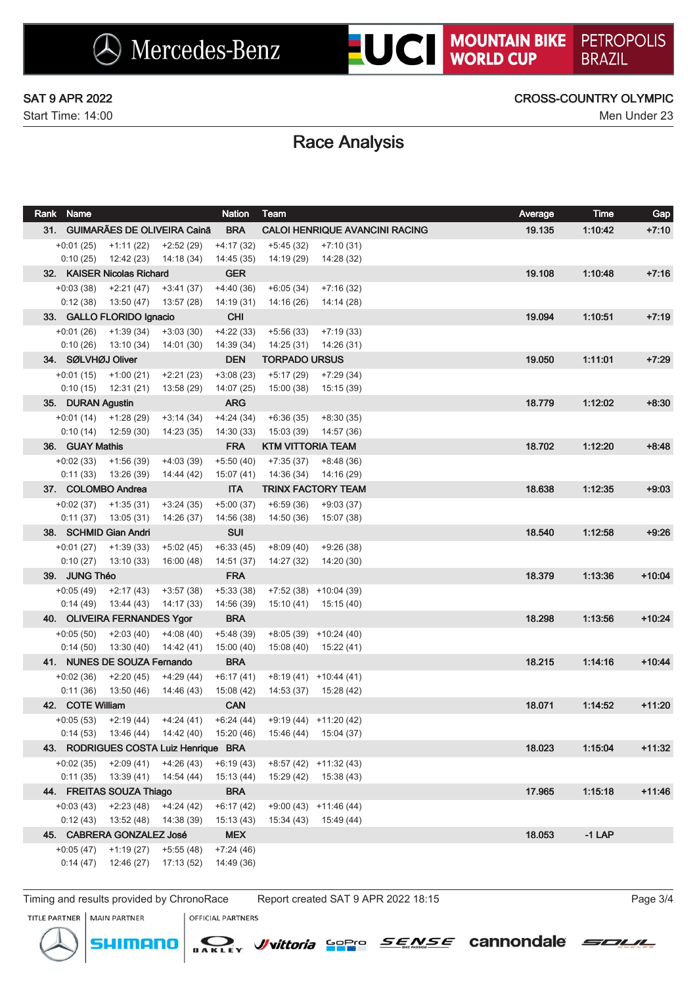Start Time: 14:00 Men Under 23

## SAT 9 APR 2022 CROSS-COUNTRY OLYMPIC

# Race Analysis

|                            | Rank Name                   |                                                  |                                             | <b>Nation</b>             | Team                      |                                                   | Average | <b>Time</b> | Gap      |
|----------------------------|-----------------------------|--------------------------------------------------|---------------------------------------------|---------------------------|---------------------------|---------------------------------------------------|---------|-------------|----------|
|                            |                             |                                                  | 31. GUIMARÃES DE OLIVEIRA Cainã             | <b>BRA</b>                |                           | <b>CALOI HENRIQUE AVANCINI RACING</b>             | 19.135  | 1:10:42     | $+7:10$  |
|                            |                             | $+0:01(25)$ $+1:11(22)$ $+2:52(29)$              |                                             | $+4:17(32)$               | +5:45 (32)                | +7:10 (31)                                        |         |             |          |
|                            |                             | $0:10(25)$ 12:42 (23) 14:18 (34)                 |                                             | 14:45 (35)                | 14:19 (29)                | 14:28 (32)                                        |         |             |          |
| 32. KAISER Nicolas Richard |                             |                                                  |                                             | <b>GER</b>                |                           |                                                   | 19.108  | 1:10:48     | $+7:16$  |
|                            |                             | $+0:03(38)$ $+2:21(47)$                          | $+3:41(37)$                                 | $+4:40(36)$               | $+6:05(34)$               | $+7:16(32)$                                       |         |             |          |
|                            | 0:12(38)                    | 13:50 (47)                                       | 13:57 (28)                                  | 14:19 (31)                | 14:16 (26)                | 14:14 (28)                                        |         |             |          |
|                            |                             | 33. GALLO FLORIDO Ignacio                        |                                             | <b>CHI</b>                |                           |                                                   | 19.094  | 1:10:51     | $+7:19$  |
|                            |                             | $+0.01(26)$ $+1.39(34)$                          | $+3:03(30)$                                 | $+4:22(33)$               | $+5:56(33)$               | $+7:19(33)$                                       |         |             |          |
|                            | 0:10(26)                    | 13:10 (34)                                       | 14:01 (30)                                  | 14:39 (34)                | 14:25 (31)                | 14:26 (31)                                        |         |             |          |
|                            | 34. SØLVHØJ Oliver          |                                                  |                                             | <b>DEN</b>                | <b>TORPADO URSUS</b>      |                                                   | 19.050  | 1:11:01     | $+7:29$  |
|                            |                             | $+0:01(15)$ $+1:00(21)$                          | $+2:21(23)$                                 | $+3:08(23)$               | $+5:17(29)$               | $+7:29(34)$                                       |         |             |          |
|                            |                             | $0:10(15)$ 12:31 (21)                            | 13:58 (29)                                  | 14:07 (25)                | 15:00 (38)                | 15:15 (39)                                        |         |             |          |
|                            | 35. DURAN Agustin           |                                                  |                                             | <b>ARG</b>                |                           |                                                   | 18.779  | 1:12:02     | $+8:30$  |
|                            |                             | $+0:01(14)$ $+1:28(29)$<br>$0:10(14)$ 12:59 (30) | $+3:14(34)$<br>14:23 (35)                   | $+4:24(34)$<br>14:30 (33) | $+6:36(35)$<br>15:03 (39) | $+8:30(35)$<br>14:57 (36)                         |         |             |          |
|                            | 36. GUAY Mathis             |                                                  |                                             | <b>FRA</b>                | <b>KTM VITTORIA TEAM</b>  |                                                   | 18.702  | 1:12:20     | $+8.48$  |
|                            |                             | $+0.02(33)$ $+1.56(39)$                          | $+4:03(39)$                                 | $+5:50(40)$               | $+7:35(37)$               | $+8:48(36)$                                       |         |             |          |
|                            |                             | $0:11(33)$ 13:26 (39)                            | 14:44 (42)                                  | 15:07 (41)                | 14:36 (34)                | 14:16 (29)                                        |         |             |          |
|                            |                             | 37. COLOMBO Andrea                               |                                             | <b>ITA</b>                |                           | <b>TRINX FACTORY TEAM</b>                         | 18.638  | 1:12:35     | $+9:03$  |
|                            | +0:02 (37)                  | $+1:35(31)$                                      | $+3:24(35)$                                 | $+5:00(37)$               | $+6:59(36)$               | $+9:03(37)$                                       |         |             |          |
|                            | 0:11(37)                    | 13:05 (31)                                       | 14:26 (37)                                  | 14:56 (38)                | 14:50(36)                 | 15:07 (38)                                        |         |             |          |
|                            | 38. SCHMID Gian Andri       |                                                  |                                             | <b>SUI</b>                |                           |                                                   | 18.540  | 1:12:58     | $+9:26$  |
|                            |                             | $+0:01(27)$ $+1:39(33)$                          | $+5:02(45)$                                 | $+6:33(45)$               | +8:09 (40)                | $+9:26(38)$                                       |         |             |          |
|                            | 0:10(27)                    | 13:10 (33)                                       | 16:00 (48)                                  | 14:51 (37)                | 14:27 (32)                | 14:20 (30)                                        |         |             |          |
|                            | 39. JUNG Théo               |                                                  |                                             | <b>FRA</b>                |                           |                                                   | 18.379  | 1:13:36     | $+10:04$ |
|                            | $+0.05(49)$                 | $+2:17(43)$                                      | $+3:57(38)$                                 | $+5:33(38)$               |                           | $+7:52(38)$ $+10:04(39)$                          |         |             |          |
|                            | 0:14(49)                    | 13:44 (43)                                       | 14:17 (33)                                  | 14:56 (39)                | 15:10 (41)                | 15:15 (40)                                        |         |             |          |
|                            | 40. OLIVEIRA FERNANDES Ygor |                                                  |                                             | <b>BRA</b>                |                           |                                                   | 18.298  | 1:13:56     | $+10:24$ |
|                            | $+0.05(50)$                 | $+2:03(40)$                                      | $+4:08(40)$                                 | $+5:48(39)$               |                           | $+8:05(39)$ $+10:24(40)$                          |         |             |          |
|                            | 0:14(50)                    | 13:30 (40)                                       | 14:42 (41)                                  | 15:00 (40)                |                           | 15:08 (40) 15:22 (41)                             |         |             |          |
|                            |                             | 41. NUNES DE SOUZA Fernando                      |                                             | <b>BRA</b>                |                           |                                                   | 18.215  | 1:14:16     | $+10:44$ |
|                            | $+0.02(36)$                 | $+2:20(45)$                                      | $+4:29(44)$                                 | $+6:17(41)$               |                           | $+8:19(41)$ $+10:44(41)$                          |         |             |          |
|                            | 0:11(36)                    | 13:50 (46)                                       | 14:46 (43)                                  | 15:08 (42)                |                           | $14:53(37)$ $15:28(42)$                           |         |             |          |
|                            | 42. COTE William            |                                                  |                                             | <b>CAN</b>                |                           |                                                   | 18.071  | 1:14:52     | $+11:20$ |
|                            |                             | $+0.05(53)$ $+2.19(44)$ $+4.24(41)$              |                                             | $+6:24(44)$               |                           | $+9:19(44)$ $+11:20(42)$                          |         |             |          |
|                            |                             |                                                  | $0:14(53)$ 13:46 (44) 14:42 (40) 15:20 (46) |                           |                           | 15:46 (44) 15:04 (37)                             |         |             |          |
|                            |                             |                                                  | 43. RODRIGUES COSTA Luiz Henrique BRA       |                           |                           |                                                   | 18.023  | 1:15:04     | $+11:32$ |
|                            | +0:02 (35)                  | $0:11(35)$ $13:39(41)$ $14:54(44)$               | $+2:09(41)$ $+4:26(43)$                     | $+6:19(43)$<br>15:13 (44) |                           | $+8:57(42)$ $+11:32(43)$<br>15:29 (42) 15:38 (43) |         |             |          |
|                            |                             | 44. FREITAS SOUZA Thiago                         |                                             | <b>BRA</b>                |                           |                                                   | 17.965  | 1:15:18     | $+11:46$ |
|                            | $+0:03(43)$                 | $+2:23(48)$                                      | $+4:24(42)$                                 | $+6:17(42)$               |                           | $+9:00(43)$ +11:46 (44)                           |         |             |          |
|                            |                             | $0:12(43)$ 13:52 (48) 14:38 (39)                 |                                             | 15:13 (43)                | 15:34 (43)                | 15:49 (44)                                        |         |             |          |
|                            |                             | 45. CABRERA GONZALEZ José                        |                                             | <b>MEX</b>                |                           |                                                   | 18.053  | $-1$ LAP    |          |
|                            | $+0.05(47)$                 | $+1:19(27)$                                      | $+5:55(48)$                                 | $+7:24(46)$               |                           |                                                   |         |             |          |
|                            | 0:14(47)                    | 12:46 (27)                                       | 17:13 (52)                                  | 14:49 (36)                |                           |                                                   |         |             |          |
|                            |                             |                                                  |                                             |                           |                           |                                                   |         |             |          |

Timing and results provided by ChronoRace Report created SAT 9 APR 2022 18:15 Page 3/4

*J*/vittoria Sopro

**SENSE** cannondale

SOLIL

TITLE PARTNER | MAIN PARTNER

**OFFICIAL PARTNERS**